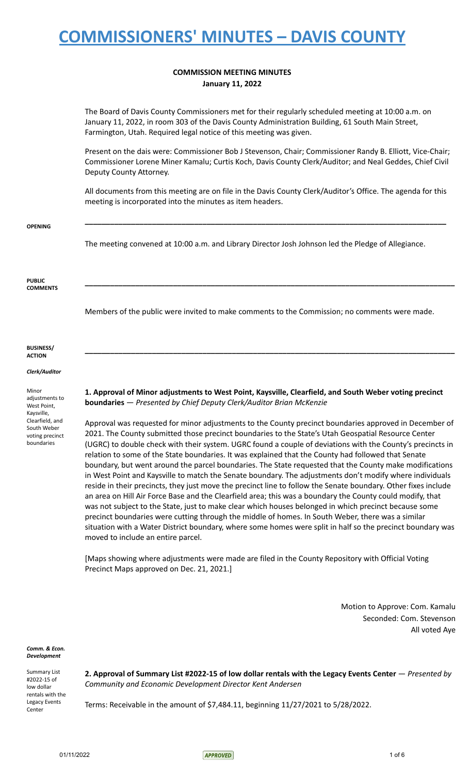## **COMMISSION MEETING MINUTES January 11, 2022**

The Board of Davis County Commissioners met for their regularly scheduled meeting at 10:00 a.m. on January 11, 2022, in room 303 of the Davis County Administration Building, 61 South Main Street, Farmington, Utah. Required legal notice of this meeting was given.

Present on the dais were: Commissioner Bob J Stevenson, Chair; Commissioner Randy B. Elliott, Vice-Chair; Commissioner Lorene Miner Kamalu; Curtis Koch, Davis County Clerk/Auditor; and Neal Geddes, Chief Civil Deputy County Attorney.

All documents from this meeting are on file in the Davis County Clerk/Auditor's Office. The agenda for this meeting is incorporated into the minutes as item headers.

**\_\_\_\_\_\_\_\_\_\_\_\_\_\_\_\_\_\_\_\_\_\_\_\_\_\_\_\_\_\_\_\_\_\_\_\_\_\_\_\_\_\_\_\_\_\_\_\_\_\_\_\_\_\_\_\_\_\_\_\_\_\_\_\_\_\_\_\_\_\_\_\_\_\_\_\_\_\_\_\_\_\_\_\_\_\_**

**\_\_\_\_\_\_\_\_\_\_\_\_\_\_\_\_\_\_\_\_\_\_\_\_\_\_\_\_\_\_\_\_\_\_\_\_\_\_\_\_\_\_\_\_\_\_\_\_\_\_\_\_\_\_\_\_\_\_\_\_\_\_\_\_\_\_\_\_\_\_\_\_\_\_\_\_\_\_\_\_\_\_\_\_\_\_\_\_**

**\_\_\_\_\_\_\_\_\_\_\_\_\_\_\_\_\_\_\_\_\_\_\_\_\_\_\_\_\_\_\_\_\_\_\_\_\_\_\_\_\_\_\_\_\_\_\_\_\_\_\_\_\_\_\_\_\_\_\_\_\_\_\_\_\_\_\_\_\_\_\_\_\_\_\_\_\_\_\_\_\_\_\_\_\_\_\_\_**

**OPENING**

The meeting convened at 10:00 a.m. and Library Director Josh Johnson led the Pledge of Allegiance.

**PUBLIC COMMENTS**

Members of the public were invited to make comments to the Commission; no comments were made.

**BUSINESS/ ACTION**

*Clerk/Auditor*

Minor adjustments to West Point, Kaysville, Clearfield, and South Weber voting precinct boundaries

**1. Approval of Minor adjustments to West Point, Kaysville, Clearfield, and South Weber voting precinct boundaries** — *Presented by Chief Deputy Clerk/Auditor Brian McKenzie*

Approval was requested for minor adjustments to the County precinct boundaries approved in December of 2021. The County submitted those precinct boundaries to the State's Utah Geospatial Resource Center (UGRC) to double check with their system. UGRC found a couple of deviations with the County's precincts in relation to some of the State boundaries. It was explained that the County had followed that Senate boundary, but went around the parcel boundaries. The State requested that the County make modifications in West Point and Kaysville to match the Senate boundary. The adjustments don't modify where individuals reside in their precincts, they just move the precinct line to follow the Senate boundary. Other fixes include an area on Hill Air Force Base and the Clearfield area; this was a boundary the County could modify, that was not subject to the State, just to make clear which houses belonged in which precinct because some precinct boundaries were cutting through the middle of homes. In South Weber, there was a similar situation with a Water District boundary, where some homes were split in half so the precinct boundary was moved to include an entire parcel.

[Maps showing where adjustments were made are filed in the County Repository with Official Voting Precinct Maps approved on Dec. 21, 2021.]

> Motion to Approve: Com. Kamalu Seconded: Com. Stevenson All voted Aye

*Comm. & Econ. Development*

Summary List #2022-15 of low dollar rentals with the Legacy Events Center

**2. Approval of Summary List #2022-15 of low dollar rentals with the Legacy Events Center** — *Presented by Community and Economic Development Director Kent Andersen*

Terms: Receivable in the amount of \$7,484.11, beginning 11/27/2021 to 5/28/2022.

01/11/2022 1 of 6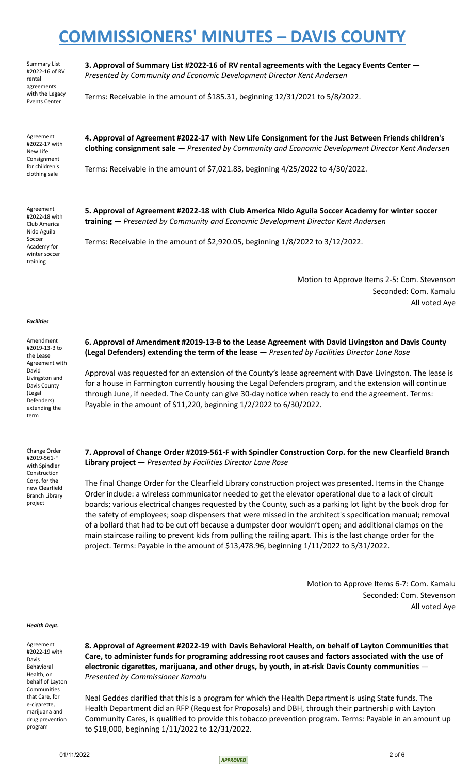Summary List #2022-16 of RV rental agreements with the Legacy Events Center

**3. Approval of Summary List #2022-16 of RV rental agreements with the Legacy Events Center** — *Presented by Community and Economic Development Director Kent Andersen*

Terms: Receivable in the amount of \$185.31, beginning 12/31/2021 to 5/8/2022.

Agreement #2022-17 with New Life Consignment for children's clothing sale

**4. Approval of Agreement #2022-17 with New Life Consignment for the Just Between Friends children's clothing consignment sale** — *Presented by Community and Economic Development Director Kent Andersen*

Terms: Receivable in the amount of \$7,021.83, beginning 4/25/2022 to 4/30/2022.

Agreement #2022-18 with Club America Nido Aguila Soccer Academy for winter soccer training

**5. Approval of Agreement #2022-18 with Club America Nido Aguila Soccer Academy for winter soccer training** — *Presented by Community and Economic Development Director Kent Andersen*

Terms: Receivable in the amount of \$2,920.05, beginning 1/8/2022 to 3/12/2022.

Motion to Approve Items 2-5: Com. Stevenson Seconded: Com. Kamalu All voted Aye

### *Facilities*

Amendment #2019-13-B to the Lease Agreement with David Livingston and Davis County (Legal Defenders) extending the term

Change Order #2019-561-F with Spindler Construction Corp. for the new Clearfield Branch Library project

### **6. Approval of Amendment #2019-13-B to the Lease Agreement with David Livingston and Davis County (Legal Defenders) extending the term of the lease** — *Presented by Facilities Director Lane Rose*

Approval was requested for an extension of the County's lease agreement with Dave Livingston. The lease is for a house in Farmington currently housing the Legal Defenders program, and the extension will continue through June, if needed. The County can give 30-day notice when ready to end the agreement. Terms: Payable in the amount of \$11,220, beginning 1/2/2022 to 6/30/2022.

**7. Approval of Change Order #2019-561-F with Spindler Construction Corp. for the new Clearfield Branch Library project** — *Presented by Facilities Director Lane Rose*

The final Change Order for the Clearfield Library construction project was presented. Items in the Change Order include: a wireless communicator needed to get the elevator operational due to a lack of circuit boards; various electrical changes requested by the County, such as a parking lot light by the book drop for the safety of employees; soap dispensers that were missed in the architect's specification manual; removal of a bollard that had to be cut off because a dumpster door wouldn't open; and additional clamps on the main staircase railing to prevent kids from pulling the railing apart. This is the last change order for the project. Terms: Payable in the amount of \$13,478.96, beginning 1/11/2022 to 5/31/2022.

> Motion to Approve Items 6-7: Com. Kamalu Seconded: Com. Stevenson All voted Aye

### *Health Dept.*

Agreement #2022-19 with Davis Behavioral Health, on behalf of Layton Communities that Care, for e-cigarette, marijuana and drug prevention program

**8. Approval of Agreement #2022-19 with Davis Behavioral Health, on behalf of Layton Communities that Care, to administer funds for programing addressing root causes and factors associated with the use of electronic cigarettes, marijuana, and other drugs, by youth, in at-risk Davis County communities** — *Presented by Commissioner Kamalu*

Neal Geddes clarified that this is a program for which the Health Department is using State funds. The Health Department did an RFP (Request for Proposals) and DBH, through their partnership with Layton Community Cares, is qualified to provide this tobacco prevention program. Terms: Payable in an amount up to \$18,000, beginning 1/11/2022 to 12/31/2022.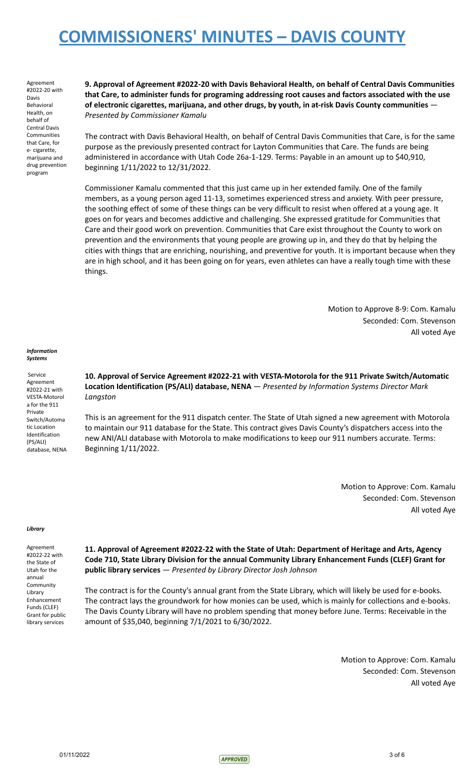Agreement #2022-20 with Davis Behavioral Health, on behalf of Central Davis Communities that Care, for e- cigarette, marijuana and drug prevention program

**9. Approval of Agreement #2022-20 with Davis Behavioral Health, on behalf of Central Davis Communities that Care, to administer funds for programing addressing root causes and factors associated with the use of electronic cigarettes, marijuana, and other drugs, by youth, in at-risk Davis County communities** — *Presented by Commissioner Kamalu*

The contract with Davis Behavioral Health, on behalf of Central Davis Communities that Care, is for the same purpose as the previously presented contract for Layton Communities that Care. The funds are being administered in accordance with Utah Code 26a-1-129. Terms: Payable in an amount up to \$40,910, beginning 1/11/2022 to 12/31/2022.

Commissioner Kamalu commented that this just came up in her extended family. One of the family members, as a young person aged 11-13, sometimes experienced stress and anxiety. With peer pressure, the soothing effect of some of these things can be very difficult to resist when offered at a young age. It goes on for years and becomes addictive and challenging. She expressed gratitude for Communities that Care and their good work on prevention. Communities that Care exist throughout the County to work on prevention and the environments that young people are growing up in, and they do that by helping the cities with things that are enriching, nourishing, and preventive for youth. It is important because when they are in high school, and it has been going on for years, even athletes can have a really tough time with these things.

> Motion to Approve 8-9: Com. Kamalu Seconded: Com. Stevenson All voted Aye

#### *Information Systems*

Service Agreement #2022-21 with VESTA-Motorol a for the 911 Private Switch/Automa tic Location Identification (PS/ALI) database, NENA

**10. Approval of Service Agreement #2022-21 with VESTA-Motorola for the 911 Private Switch/Automatic Location Identification (PS/ALI) database, NENA** — *Presented by Information Systems Director Mark Langston*

This is an agreement for the 911 dispatch center. The State of Utah signed a new agreement with Motorola to maintain our 911 database for the State. This contract gives Davis County's dispatchers access into the new ANI/ALI database with Motorola to make modifications to keep our 911 numbers accurate. Terms: Beginning 1/11/2022.

> Motion to Approve: Com. Kamalu Seconded: Com. Stevenson All voted Aye

### *Library*

Agreement #2022-22 with the State of Utah for the annual Community Library Enhancement Funds (CLEF) Grant for public library services

**11. Approval of Agreement #2022-22 with the State of Utah: Department of Heritage and Arts, Agency Code 710, State Library Division for the annual Community Library Enhancement Funds (CLEF) Grant for public library services** — *Presented by Library Director Josh Johnson*

The contract is for the County's annual grant from the State Library, which will likely be used for e-books. The contract lays the groundwork for how monies can be used, which is mainly for collections and e-books. The Davis County Library will have no problem spending that money before June. Terms: Receivable in the amount of \$35,040, beginning 7/1/2021 to 6/30/2022.

> Motion to Approve: Com. Kamalu Seconded: Com. Stevenson All voted Aye

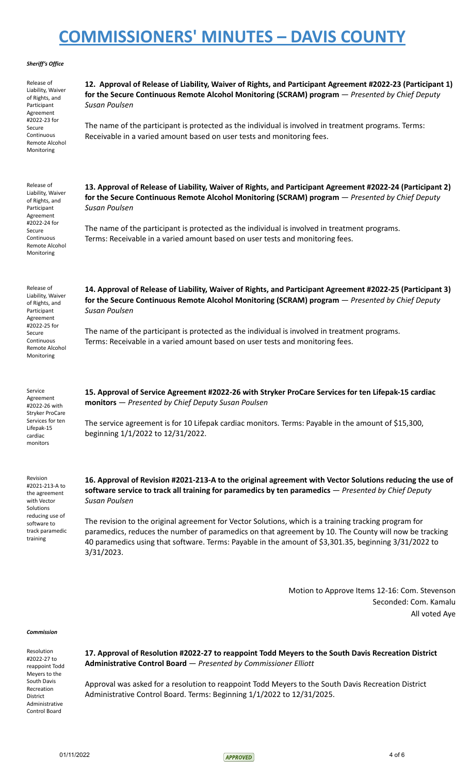### *Sheriff's Office*

| Release of<br>Liability, Waiver<br>of Rights, and<br>Participant<br>Agreement | 12. Approval of Release of Liability, Waiver of Rights, and Participant Agreement #2022-23 (Participant 1)<br>for the Secure Continuous Remote Alcohol Monitoring (SCRAM) program - Presented by Chief Deputy<br>Susan Poulsen                                                                                                           |  |
|-------------------------------------------------------------------------------|------------------------------------------------------------------------------------------------------------------------------------------------------------------------------------------------------------------------------------------------------------------------------------------------------------------------------------------|--|
| #2022-23 for<br>Secure<br>Continuous<br>Remote Alcohol<br>Monitoring          | The name of the participant is protected as the individual is involved in treatment programs. Terms:<br>Receivable in a varied amount based on user tests and monitoring fees.                                                                                                                                                           |  |
| Release of<br>Liability, Waiver<br>of Rights, and<br>Participant<br>Agreement | 13. Approval of Release of Liability, Waiver of Rights, and Participant Agreement #2022-24 (Participant 2)<br>for the Secure Continuous Remote Alcohol Monitoring (SCRAM) program - Presented by Chief Deputy<br>Susan Poulsen                                                                                                           |  |
| #2022-24 for<br>Secure<br>Continuous<br>Remote Alcohol<br>Monitoring          | The name of the participant is protected as the individual is involved in treatment programs.<br>Terms: Receivable in a varied amount based on user tests and monitoring fees.                                                                                                                                                           |  |
| Release of<br>Liability, Waiver<br>of Rights, and<br>Participant<br>Agreement | 14. Approval of Release of Liability, Waiver of Rights, and Participant Agreement #2022-25 (Participant 3)<br>for the Secure Continuous Remote Alcohol Monitoring (SCRAM) program - Presented by Chief Deputy<br>Susan Poulsen                                                                                                           |  |
| #2022-25 for<br>Secure<br>Continuous<br>Remote Alcohol<br>Monitoring          | The name of the participant is protected as the individual is involved in treatment programs.<br>Terms: Receivable in a varied amount based on user tests and monitoring fees.                                                                                                                                                           |  |
| Service<br>Agreement<br>#2022-26 with<br>Stryker ProCare                      | 15. Approval of Service Agreement #2022-26 with Stryker ProCare Services for ten Lifepak-15 cardiac<br>monitors - Presented by Chief Deputy Susan Poulsen                                                                                                                                                                                |  |
| Services for ten<br>Lifepak-15<br>cardiac<br>monitors                         | The service agreement is for 10 Lifepak cardiac monitors. Terms: Payable in the amount of \$15,300,<br>beginning 1/1/2022 to 12/31/2022.                                                                                                                                                                                                 |  |
| Revision<br>#2021-213-A to<br>the agreement<br>with Vector<br>Solutions       | 16. Approval of Revision #2021-213-A to the original agreement with Vector Solutions reducing the use of<br>software service to track all training for paramedics by ten paramedics - Presented by Chief Deputy<br>Susan Poulsen                                                                                                         |  |
| reducing use of<br>software to<br>track paramedic<br>training                 | The revision to the original agreement for Vector Solutions, which is a training tracking program for<br>paramedics, reduces the number of paramedics on that agreement by 10. The County will now be tracking<br>40 paramedics using that software. Terms: Payable in the amount of \$3,301.35, beginning 3/31/2022 to<br>$3/31/2023$ . |  |

Motion to Approve Items 12-16: Com. Stevenson Seconded: Com. Kamalu All voted Aye

### *Commission*

Resolution #2022-27 to reappoint Todd Meyers to the South Davis Recreation District Administrative Control Board

**17. Approval of Resolution #2022-27 to reappoint Todd Meyers to the South Davis Recreation District Administrative Control Board** — *Presented by Commissioner Elliott*

Approval was asked for a resolution to reappoint Todd Meyers to the South Davis Recreation District Administrative Control Board. Terms: Beginning 1/1/2022 to 12/31/2025.

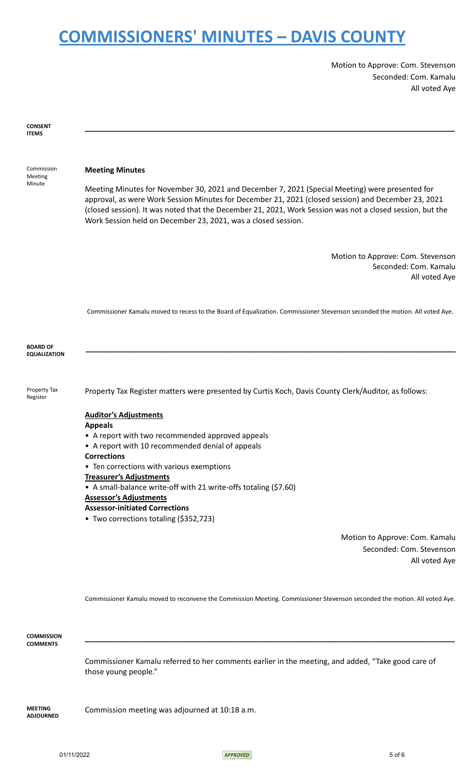Motion to Approve: Com. Stevenson Seconded: Com. Kamalu All voted Aye

| <b>CONSENT</b><br><b>ITEMS</b>         |                                                                                                                                                                                                                                                                                                                                                                                      |
|----------------------------------------|--------------------------------------------------------------------------------------------------------------------------------------------------------------------------------------------------------------------------------------------------------------------------------------------------------------------------------------------------------------------------------------|
| Commission<br>Meeting<br>Minute        | <b>Meeting Minutes</b>                                                                                                                                                                                                                                                                                                                                                               |
|                                        | Meeting Minutes for November 30, 2021 and December 7, 2021 (Special Meeting) were presented for<br>approval, as were Work Session Minutes for December 21, 2021 (closed session) and December 23, 2021<br>(closed session). It was noted that the December 21, 2021, Work Session was not a closed session, but the<br>Work Session held on December 23, 2021, was a closed session. |
|                                        | Motion to Approve: Com. Stevenson<br>Seconded: Com. Kamalu<br>All voted Aye                                                                                                                                                                                                                                                                                                          |
|                                        | Commissioner Kamalu moved to recess to the Board of Equalization. Commissioner Stevenson seconded the motion. All voted Aye.                                                                                                                                                                                                                                                         |
| <b>BOARD OF</b><br><b>EQUALIZATION</b> |                                                                                                                                                                                                                                                                                                                                                                                      |
| Property Tax<br>Register               | Property Tax Register matters were presented by Curtis Koch, Davis County Clerk/Auditor, as follows:                                                                                                                                                                                                                                                                                 |
|                                        | <b>Auditor's Adjustments</b><br><b>Appeals</b>                                                                                                                                                                                                                                                                                                                                       |
|                                        | • A report with two recommended approved appeals                                                                                                                                                                                                                                                                                                                                     |
|                                        | • A report with 10 recommended denial of appeals                                                                                                                                                                                                                                                                                                                                     |
|                                        | <b>Corrections</b>                                                                                                                                                                                                                                                                                                                                                                   |
|                                        | Ten corrections with various exemptions                                                                                                                                                                                                                                                                                                                                              |
|                                        | <b>Treasurer's Adjustments</b><br>• A small-balance write-off with 21 write-offs totaling (\$7.60)                                                                                                                                                                                                                                                                                   |
|                                        | <b>Assessor's Adjustments</b>                                                                                                                                                                                                                                                                                                                                                        |
|                                        | <b>Assessor-initiated Corrections</b>                                                                                                                                                                                                                                                                                                                                                |
|                                        | • Two corrections totaling (\$352,723)                                                                                                                                                                                                                                                                                                                                               |
|                                        | Motion to Approve: Com. Kamalu                                                                                                                                                                                                                                                                                                                                                       |
|                                        | Seconded: Com. Stevenson                                                                                                                                                                                                                                                                                                                                                             |
|                                        | All voted Aye                                                                                                                                                                                                                                                                                                                                                                        |

Commissioner Kamalu moved to reconvene the Commission Meeting. Commissioner Stevenson seconded the motion. All voted Aye.

**\_\_\_\_\_\_\_\_\_\_\_\_\_\_\_\_\_\_\_\_\_\_\_\_\_\_\_\_\_\_\_\_\_\_\_\_\_\_\_\_\_\_\_\_\_\_\_\_\_\_\_\_\_\_\_\_\_\_\_\_\_\_\_\_\_\_\_\_\_\_\_\_\_\_\_\_\_\_\_\_\_\_\_\_\_\_\_\_**

**COMMISSION COMMENTS**

> Commissioner Kamalu referred to her comments earlier in the meeting, and added, "Take good care of those young people."

**MEETING ADJOURNED** Commission meeting was adjourned at 10:18 a.m.